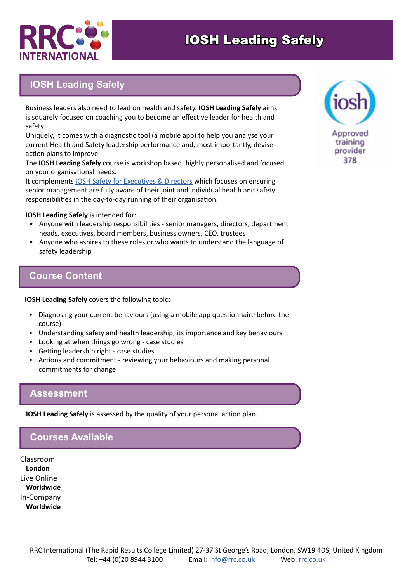

# IOSH Leading Safely

## **IOSH Leading Safely**

Business leaders also need to lead on health and safety. **IOSH Leading Safely** aims is squarely focused on coaching you to become an effective leader for health and safety.

Uniquely, it comes with a diagnostic tool (a mobile app) to help you analyse your current Health and Safety leadership performance and, most importantly, devise action plans to improve.

The **IOSH Leading Safely** course is workshop based, highly personalised and focused on your organisational needs.

It complements [IOSH Safety for Executives & Directors](https://www.rrc.co.uk/iosh-certificates/iosh-safety-for-executives-and-directors.aspx) which focuses on ensuring senior management are fully aware of their joint and individual health and safety responsibilities in the day-to-day running of their organisation.

**IOSH Leading Safely** is intended for:

- Anyone with leadership responsibilities senior managers, directors, department heads, executives, board members, business owners, CEO, trustees
- Anyone who aspires to these roles or who wants to understand the language of safety leadership

### **Course Content**

**IOSH Leading Safely** covers the following topics:

- Diagnosing your current behaviours (using a mobile app questionnaire before the course)
- Understanding safety and health leadership, its importance and key behaviours
- Looking at when things go wrong case studies
- Getting leadership right case studies
- Actions and commitment reviewing your behaviours and making personal commitments for change

#### **Assessment**

**IOSH Leading Safely** is assessed by the quality of your personal action plan.

### **Courses Available**

Classroom **London** Live Online **Worldwide** In-Company **Worldwide**